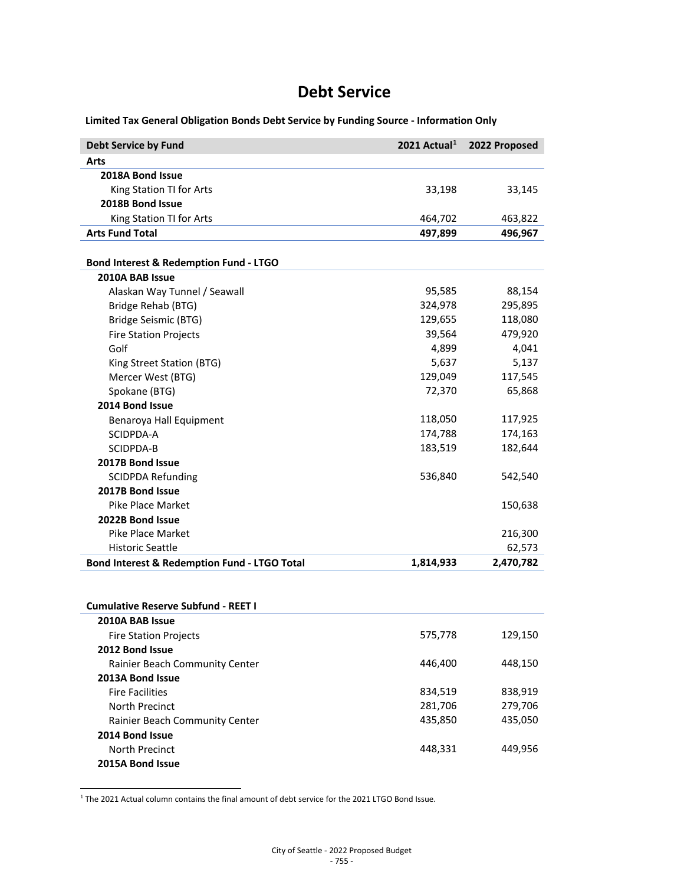**Limited Tax General Obligation Bonds Debt Service by Funding Source - Information Only**

| <b>Debt Service by Fund</b>                  | 2021 Actual <sup>1</sup> | 2022 Proposed |
|----------------------------------------------|--------------------------|---------------|
| Arts                                         |                          |               |
| 2018A Bond Issue                             |                          |               |
| King Station TI for Arts                     | 33,198                   | 33,145        |
| 2018B Bond Issue                             |                          |               |
| King Station TI for Arts                     | 464,702                  | 463,822       |
| <b>Arts Fund Total</b>                       | 497,899                  | 496,967       |
| Bond Interest & Redemption Fund - LTGO       |                          |               |
| 2010A BAB Issue                              |                          |               |
| Alaskan Way Tunnel / Seawall                 | 95,585                   | 88,154        |
| Bridge Rehab (BTG)                           | 324,978                  | 295,895       |
| Bridge Seismic (BTG)                         | 129,655                  | 118,080       |
| <b>Fire Station Projects</b>                 | 39,564                   | 479,920       |
| Golf                                         | 4,899                    | 4,041         |
| King Street Station (BTG)                    | 5,637                    | 5,137         |
| Mercer West (BTG)                            | 129,049                  | 117,545       |
| Spokane (BTG)                                | 72,370                   | 65,868        |
| 2014 Bond Issue                              |                          |               |
| Benaroya Hall Equipment                      | 118,050                  | 117,925       |
| SCIDPDA-A                                    | 174,788                  | 174,163       |
| SCIDPDA-B                                    | 183,519                  | 182,644       |
| 2017B Bond Issue                             |                          |               |
| <b>SCIDPDA Refunding</b>                     | 536,840                  | 542,540       |
| 2017B Bond Issue                             |                          |               |
| <b>Pike Place Market</b>                     |                          | 150,638       |
| 2022B Bond Issue                             |                          |               |
| Pike Place Market                            |                          | 216,300       |
| <b>Historic Seattle</b>                      |                          | 62,573        |
| Bond Interest & Redemption Fund - LTGO Total | 1,814,933                | 2,470,782     |
| <b>Cumulative Reserve Subfund - REET I</b>   |                          |               |
| 2010A BAB Issue                              |                          |               |
| <b>Fire Station Projects</b>                 | 575,778                  | 129,150       |
| 2012 Bond Issue                              |                          |               |
| Rainier Beach Community Center               | 446,400                  | 448,150       |
| 2013A Bond Issue                             |                          |               |
| <b>Fire Facilities</b>                       | 834,519                  | 838,919       |
| North Precinct                               | 281,706                  | 279,706       |
| Rainier Beach Community Center               | 435,850                  | 435,050       |
| 2014 Bond Issue                              |                          |               |
| North Precinct                               | 448,331                  | 449,956       |
| 2015A Bond Issue                             |                          |               |
|                                              |                          |               |

<span id="page-0-0"></span><sup>1</sup> The 2021 Actual column contains the final amount of debt service for the 2021 LTGO Bond Issue.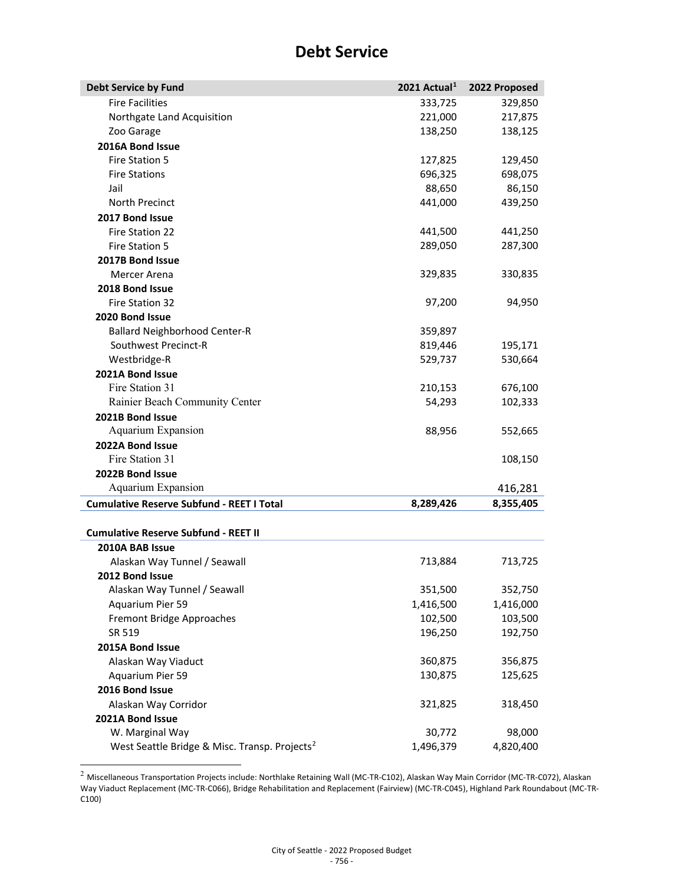| <b>Debt Service by Fund</b>                               | 2021 Actual <sup>1</sup> | 2022 Proposed |
|-----------------------------------------------------------|--------------------------|---------------|
| <b>Fire Facilities</b>                                    | 333,725                  | 329,850       |
| Northgate Land Acquisition                                | 221,000                  | 217,875       |
| Zoo Garage                                                | 138,250                  | 138,125       |
| 2016A Bond Issue                                          |                          |               |
| Fire Station 5                                            | 127,825                  | 129,450       |
| <b>Fire Stations</b>                                      | 696,325                  | 698,075       |
| Jail                                                      | 88,650                   | 86,150        |
| North Precinct                                            | 441,000                  | 439,250       |
| 2017 Bond Issue                                           |                          |               |
| Fire Station 22                                           | 441,500                  | 441,250       |
| Fire Station 5                                            | 289,050                  | 287,300       |
| 2017B Bond Issue                                          |                          |               |
| Mercer Arena                                              | 329,835                  | 330,835       |
| 2018 Bond Issue                                           |                          |               |
| Fire Station 32                                           | 97,200                   | 94,950        |
| 2020 Bond Issue                                           |                          |               |
| <b>Ballard Neighborhood Center-R</b>                      | 359,897                  |               |
| Southwest Precinct-R                                      | 819,446                  | 195,171       |
| Westbridge-R                                              | 529,737                  | 530,664       |
| 2021A Bond Issue                                          |                          |               |
| Fire Station 31                                           | 210,153                  | 676,100       |
| Rainier Beach Community Center                            | 54,293                   | 102,333       |
| 2021B Bond Issue                                          |                          |               |
| Aquarium Expansion                                        | 88,956                   | 552,665       |
| 2022A Bond Issue                                          |                          |               |
| Fire Station 31                                           |                          | 108,150       |
| 2022B Bond Issue                                          |                          |               |
| Aquarium Expansion                                        |                          | 416,281       |
| <b>Cumulative Reserve Subfund - REET I Total</b>          | 8,289,426                | 8,355,405     |
| <b>Cumulative Reserve Subfund - REET II</b>               |                          |               |
| 2010A BAB Issue                                           |                          |               |
| Alaskan Way Tunnel / Seawall                              | 713,884                  | 713,725       |
| 2012 Bond Issue                                           |                          |               |
| Alaskan Way Tunnel / Seawall                              | 351,500                  | 352,750       |
| Aquarium Pier 59                                          | 1,416,500                | 1,416,000     |
| Fremont Bridge Approaches                                 | 102,500                  | 103,500       |
| SR 519                                                    | 196,250                  | 192,750       |
| 2015A Bond Issue                                          |                          |               |
| Alaskan Way Viaduct                                       | 360,875                  | 356,875       |
| Aquarium Pier 59                                          | 130,875                  | 125,625       |
| 2016 Bond Issue                                           |                          |               |
| Alaskan Way Corridor                                      | 321,825                  | 318,450       |
| 2021A Bond Issue                                          |                          |               |
| W. Marginal Way                                           | 30,772                   | 98,000        |
| West Seattle Bridge & Misc. Transp. Projects <sup>2</sup> | 1,496,379                | 4,820,400     |
|                                                           |                          |               |

<span id="page-1-0"></span><sup>2</sup> Miscellaneous Transportation Projects include: Northlake Retaining Wall (MC-TR-C102), Alaskan Way Main Corridor (MC-TR-C072), Alaskan Way Viaduct Replacement (MC-TR-C066), Bridge Rehabilitation and Replacement (Fairview) (MC-TR-C045), Highland Park Roundabout (MC-TR-C100)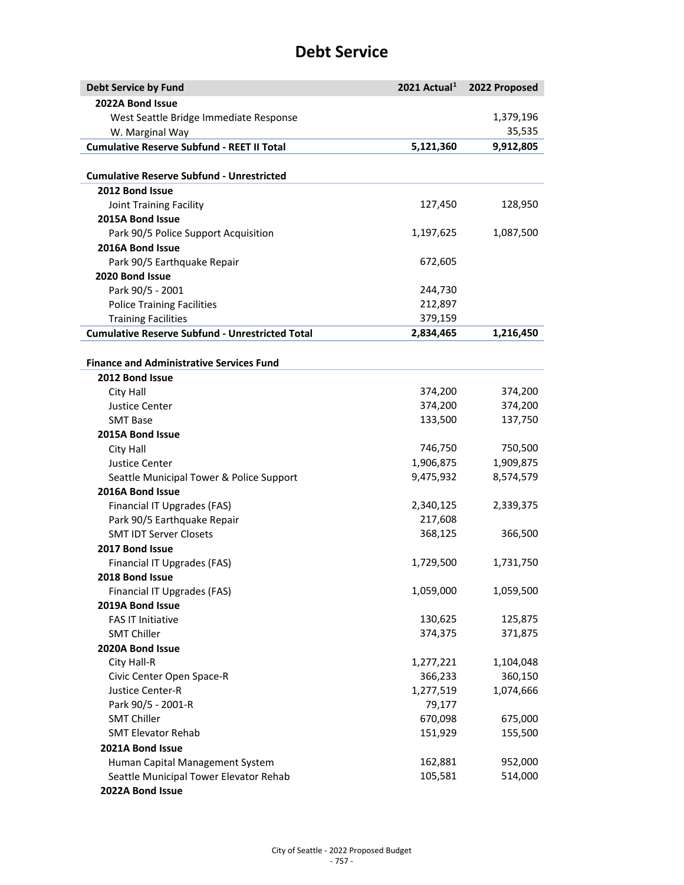| <b>Debt Service by Fund</b>                                  | 2021 Actual <sup>1</sup> | 2022 Proposed |
|--------------------------------------------------------------|--------------------------|---------------|
| 2022A Bond Issue                                             |                          |               |
| West Seattle Bridge Immediate Response                       |                          | 1,379,196     |
| W. Marginal Way                                              |                          | 35,535        |
| <b>Cumulative Reserve Subfund - REET II Total</b>            | 5,121,360                | 9,912,805     |
|                                                              |                          |               |
| <b>Cumulative Reserve Subfund - Unrestricted</b>             |                          |               |
| 2012 Bond Issue                                              |                          |               |
| Joint Training Facility                                      | 127,450                  | 128,950       |
| 2015A Bond Issue                                             |                          |               |
| Park 90/5 Police Support Acquisition                         | 1,197,625                | 1,087,500     |
| 2016A Bond Issue                                             |                          |               |
| Park 90/5 Earthquake Repair                                  | 672,605                  |               |
| 2020 Bond Issue                                              |                          |               |
| Park 90/5 - 2001                                             | 244,730                  |               |
| <b>Police Training Facilities</b>                            | 212,897                  |               |
| <b>Training Facilities</b>                                   | 379,159                  |               |
| <b>Cumulative Reserve Subfund - Unrestricted Total</b>       | 2,834,465                | 1,216,450     |
|                                                              |                          |               |
| <b>Finance and Administrative Services Fund</b>              |                          |               |
| 2012 Bond Issue                                              |                          |               |
| City Hall                                                    | 374,200                  | 374,200       |
| Justice Center                                               | 374,200                  | 374,200       |
| <b>SMT Base</b>                                              | 133,500                  | 137,750       |
| 2015A Bond Issue                                             |                          |               |
| City Hall                                                    | 746,750                  | 750,500       |
| Justice Center                                               | 1,906,875                | 1,909,875     |
| Seattle Municipal Tower & Police Support                     | 9,475,932                | 8,574,579     |
| 2016A Bond Issue                                             |                          |               |
| Financial IT Upgrades (FAS)                                  | 2,340,125                | 2,339,375     |
|                                                              | 217,608                  |               |
| Park 90/5 Earthquake Repair<br><b>SMT IDT Server Closets</b> | 368,125                  | 366,500       |
| 2017 Bond Issue                                              |                          |               |
|                                                              |                          |               |
| Financial IT Upgrades (FAS)                                  | 1,729,500                | 1,731,750     |
| 2018 Bond Issue                                              |                          |               |
| Financial IT Upgrades (FAS)                                  | 1,059,000                | 1,059,500     |
| 2019A Bond Issue                                             |                          |               |
| <b>FAS IT Initiative</b>                                     | 130,625                  | 125,875       |
| <b>SMT Chiller</b>                                           | 374,375                  | 371,875       |
| 2020A Bond Issue                                             |                          |               |
| City Hall-R                                                  | 1,277,221                | 1,104,048     |
| Civic Center Open Space-R                                    | 366,233                  | 360,150       |
| Justice Center-R                                             | 1,277,519                | 1,074,666     |
| Park 90/5 - 2001-R                                           | 79,177                   |               |
| <b>SMT Chiller</b>                                           | 670,098                  | 675,000       |
| <b>SMT Elevator Rehab</b>                                    | 151,929                  | 155,500       |
| 2021A Bond Issue                                             |                          |               |
| Human Capital Management System                              | 162,881                  | 952,000       |
| Seattle Municipal Tower Elevator Rehab                       | 105,581                  | 514,000       |
| 2022A Bond Issue                                             |                          |               |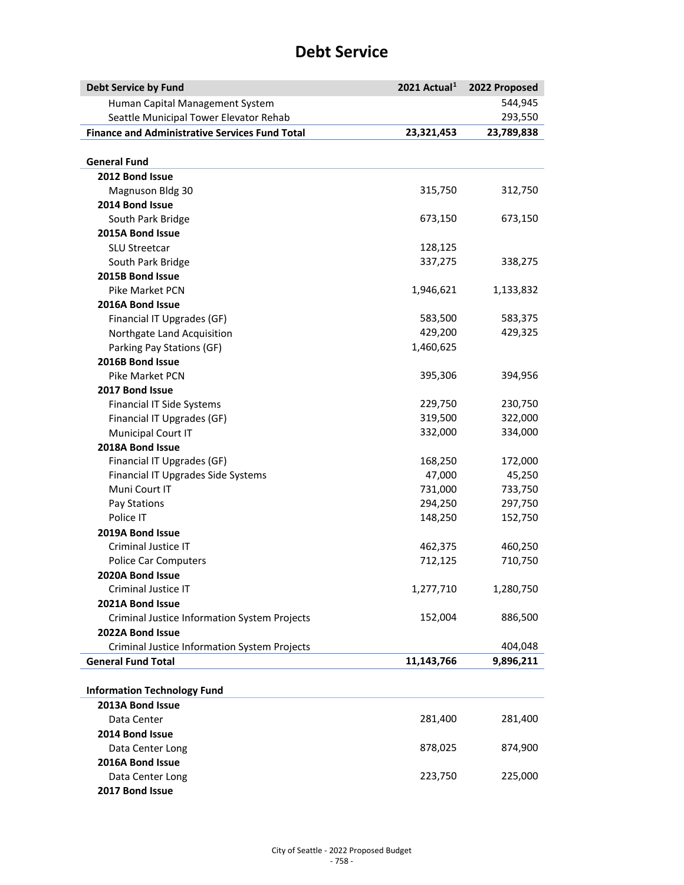| <b>Debt Service by Fund</b>                           | 2021 Actual <sup>1</sup> | 2022 Proposed |
|-------------------------------------------------------|--------------------------|---------------|
| Human Capital Management System                       |                          | 544,945       |
| Seattle Municipal Tower Elevator Rehab                |                          | 293,550       |
| <b>Finance and Administrative Services Fund Total</b> | 23,321,453               | 23,789,838    |
|                                                       |                          |               |
| <b>General Fund</b>                                   |                          |               |
| 2012 Bond Issue                                       |                          |               |
| Magnuson Bldg 30                                      | 315,750                  | 312,750       |
| 2014 Bond Issue                                       |                          |               |
| South Park Bridge                                     | 673,150                  | 673,150       |
| 2015A Bond Issue                                      |                          |               |
| <b>SLU Streetcar</b>                                  | 128,125                  |               |
| South Park Bridge                                     | 337,275                  | 338,275       |
| 2015B Bond Issue                                      |                          |               |
| <b>Pike Market PCN</b>                                | 1,946,621                | 1,133,832     |
| 2016A Bond Issue                                      |                          |               |
| Financial IT Upgrades (GF)                            | 583,500                  | 583,375       |
| Northgate Land Acquisition                            | 429,200                  | 429,325       |
| Parking Pay Stations (GF)                             | 1,460,625                |               |
| 2016B Bond Issue                                      |                          |               |
| <b>Pike Market PCN</b>                                | 395,306                  | 394,956       |
| 2017 Bond Issue                                       |                          |               |
| <b>Financial IT Side Systems</b>                      | 229,750                  | 230,750       |
| Financial IT Upgrades (GF)                            | 319,500                  | 322,000       |
| Municipal Court IT                                    | 332,000                  | 334,000       |
| 2018A Bond Issue                                      |                          |               |
| Financial IT Upgrades (GF)                            | 168,250                  | 172,000       |
| Financial IT Upgrades Side Systems                    | 47,000                   | 45,250        |
| Muni Court IT                                         | 731,000                  | 733,750       |
| Pay Stations                                          | 294,250                  | 297,750       |
| Police IT                                             | 148,250                  | 152,750       |
| 2019A Bond Issue                                      |                          |               |
| <b>Criminal Justice IT</b>                            | 462,375                  | 460,250       |
| Police Car Computers                                  | 712,125                  | 710,750       |
| 2020A Bond Issue                                      |                          |               |
| Criminal Justice IT                                   | 1,277,710                | 1,280,750     |
| 2021A Bond Issue                                      |                          |               |
| Criminal Justice Information System Projects          | 152,004                  | 886,500       |
| 2022A Bond Issue                                      |                          |               |
| Criminal Justice Information System Projects          |                          | 404,048       |
| <b>General Fund Total</b>                             | 11,143,766               | 9,896,211     |
|                                                       |                          |               |
| <b>Information Technology Fund</b>                    |                          |               |
| 2013A Bond Issue                                      |                          |               |
| Data Center                                           | 281,400                  | 281,400       |
| 2014 Bond Issue                                       |                          |               |
| Data Center Long                                      | 878,025                  | 874,900       |
| 2016A Bond Issue                                      |                          |               |
| Data Center Long                                      | 223,750                  | 225,000       |
| 2017 Bond Issue                                       |                          |               |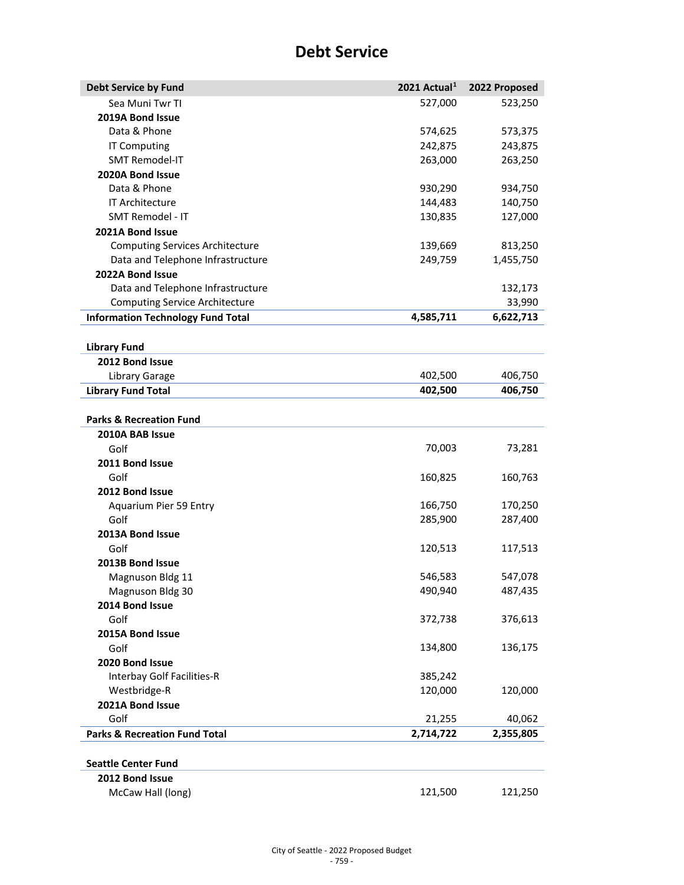| <b>Debt Service by Fund</b>              | 2021 Actual <sup>1</sup> | 2022 Proposed |
|------------------------------------------|--------------------------|---------------|
| Sea Muni Twr TI                          | 527,000                  | 523,250       |
| 2019A Bond Issue                         |                          |               |
| Data & Phone                             | 574,625                  | 573,375       |
| <b>IT Computing</b>                      | 242,875                  | 243,875       |
| <b>SMT Remodel-IT</b>                    | 263,000                  | 263,250       |
| 2020A Bond Issue                         |                          |               |
| Data & Phone                             | 930,290                  | 934,750       |
| IT Architecture                          | 144,483                  | 140,750       |
| SMT Remodel - IT                         | 130,835                  | 127,000       |
| 2021A Bond Issue                         |                          |               |
| <b>Computing Services Architecture</b>   | 139,669                  | 813,250       |
| Data and Telephone Infrastructure        | 249,759                  | 1,455,750     |
| 2022A Bond Issue                         |                          |               |
| Data and Telephone Infrastructure        |                          | 132,173       |
| <b>Computing Service Architecture</b>    |                          | 33,990        |
| <b>Information Technology Fund Total</b> | 4,585,711                | 6,622,713     |
|                                          |                          |               |
| <b>Library Fund</b>                      |                          |               |
| 2012 Bond Issue                          |                          |               |
| Library Garage                           | 402,500                  | 406,750       |
| <b>Library Fund Total</b>                | 402,500                  | 406,750       |
|                                          |                          |               |
| <b>Parks &amp; Recreation Fund</b>       |                          |               |
| 2010A BAB Issue                          |                          |               |
| Golf                                     | 70,003                   | 73,281        |
| 2011 Bond Issue                          |                          |               |
| Golf                                     | 160,825                  | 160,763       |
| 2012 Bond Issue                          |                          |               |
| Aquarium Pier 59 Entry                   | 166,750                  | 170,250       |
| Golf                                     | 285,900                  | 287,400       |
| 2013A Bond Issue                         |                          |               |
| Golf                                     | 120,513                  | 117,513       |
| 2013B Bond Issue                         |                          |               |
| Magnuson Bldg 11                         | 546,583                  | 547,078       |
| Magnuson Bldg 30                         | 490,940                  | 487,435       |
| 2014 Bond Issue                          |                          |               |
| Golf                                     | 372,738                  | 376,613       |
| 2015A Bond Issue                         |                          |               |
| Golf                                     | 134,800                  | 136,175       |
| 2020 Bond Issue                          |                          |               |
| Interbay Golf Facilities-R               | 385,242                  |               |
| Westbridge-R                             | 120,000                  | 120,000       |
| 2021A Bond Issue                         |                          |               |
| Golf                                     | 21,255                   | 40,062        |
| <b>Parks &amp; Recreation Fund Total</b> | 2,714,722                | 2,355,805     |
|                                          |                          |               |
| <b>Seattle Center Fund</b>               |                          |               |
| 2012 Bond Issue                          |                          |               |
| McCaw Hall (long)                        | 121,500                  | 121,250       |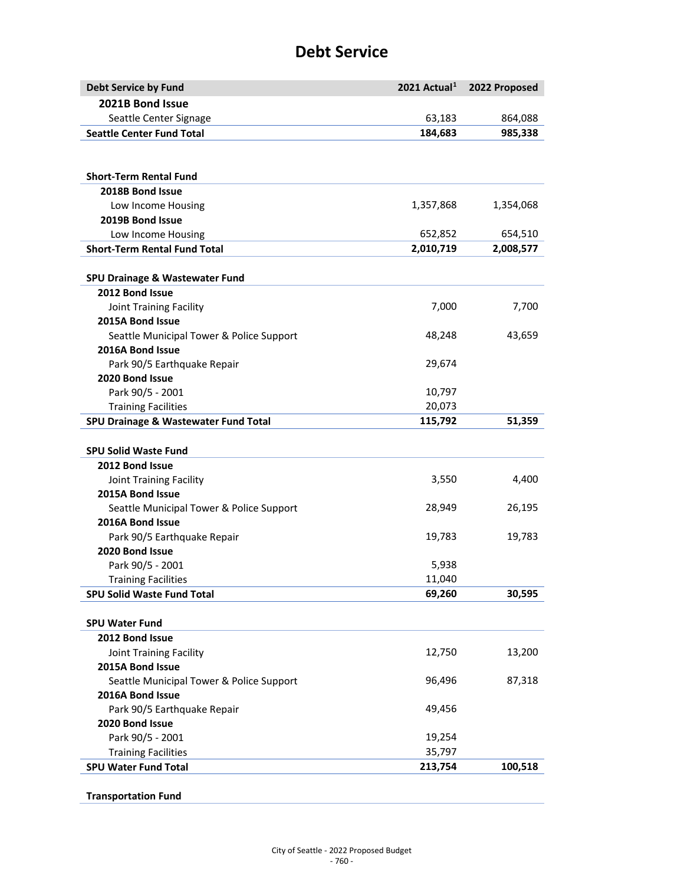| <b>Debt Service by Fund</b>              | 2021 Actual <sup>1</sup> | 2022 Proposed |
|------------------------------------------|--------------------------|---------------|
| 2021B Bond Issue                         |                          |               |
| Seattle Center Signage                   | 63,183                   | 864,088       |
| <b>Seattle Center Fund Total</b>         | 184,683                  | 985,338       |
|                                          |                          |               |
| <b>Short-Term Rental Fund</b>            |                          |               |
| 2018B Bond Issue                         |                          |               |
| Low Income Housing                       | 1,357,868                | 1,354,068     |
| 2019B Bond Issue                         |                          |               |
| Low Income Housing                       | 652,852                  | 654,510       |
| <b>Short-Term Rental Fund Total</b>      | 2,010,719                | 2,008,577     |
|                                          |                          |               |
| SPU Drainage & Wastewater Fund           |                          |               |
| 2012 Bond Issue                          |                          |               |
| Joint Training Facility                  | 7,000                    | 7,700         |
| 2015A Bond Issue                         |                          |               |
| Seattle Municipal Tower & Police Support | 48,248                   | 43,659        |
| 2016A Bond Issue                         |                          |               |
| Park 90/5 Earthquake Repair              | 29,674                   |               |
| 2020 Bond Issue                          |                          |               |
| Park 90/5 - 2001                         | 10,797                   |               |
| <b>Training Facilities</b>               | 20,073                   |               |
| SPU Drainage & Wastewater Fund Total     | 115,792                  | 51,359        |
| <b>SPU Solid Waste Fund</b>              |                          |               |
| 2012 Bond Issue                          |                          |               |
| Joint Training Facility                  | 3,550                    | 4,400         |
| 2015A Bond Issue                         |                          |               |
| Seattle Municipal Tower & Police Support | 28,949                   | 26,195        |
| 2016A Bond Issue                         |                          |               |
| Park 90/5 Earthquake Repair              | 19,783                   | 19,783        |
| 2020 Bond Issue                          |                          |               |
| Park 90/5 - 2001                         | 5,938                    |               |
| <b>Training Facilities</b>               | 11,040                   |               |
| <b>SPU Solid Waste Fund Total</b>        | 69,260                   | 30,595        |
|                                          |                          |               |
| <b>SPU Water Fund</b>                    |                          |               |
| 2012 Bond Issue                          |                          |               |
| Joint Training Facility                  | 12,750                   | 13,200        |
| 2015A Bond Issue                         |                          |               |
| Seattle Municipal Tower & Police Support | 96,496                   | 87,318        |
| 2016A Bond Issue                         |                          |               |
| Park 90/5 Earthquake Repair              | 49,456                   |               |
| 2020 Bond Issue                          |                          |               |
| Park 90/5 - 2001                         | 19,254                   |               |
| <b>Training Facilities</b>               | 35,797                   |               |
| <b>SPU Water Fund Total</b>              | 213,754                  | 100,518       |

**Transportation Fund**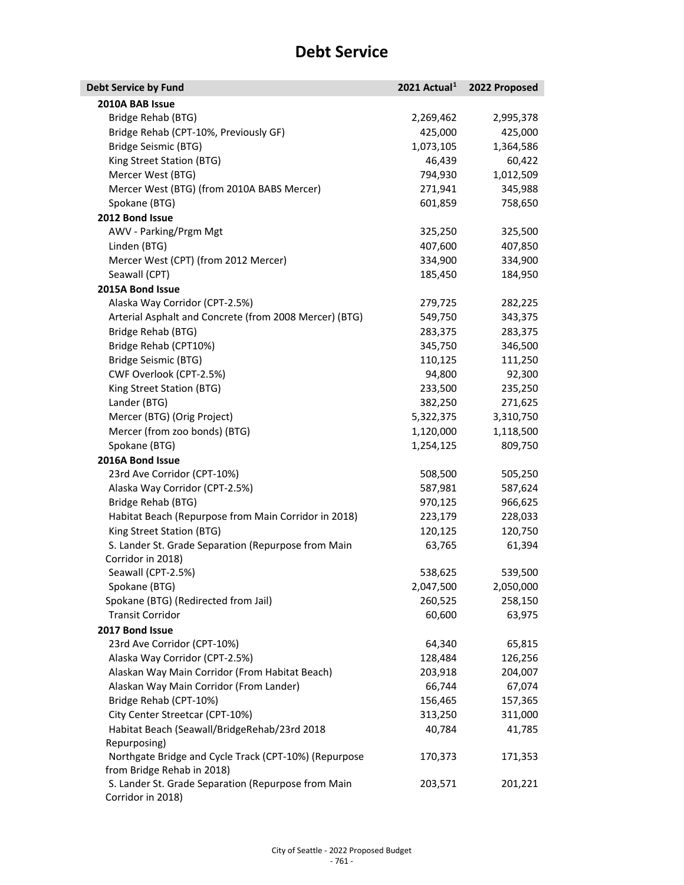| <b>Debt Service by Fund</b>                            | 2021 Actual <sup>1</sup> | 2022 Proposed |
|--------------------------------------------------------|--------------------------|---------------|
| 2010A BAB Issue                                        |                          |               |
| Bridge Rehab (BTG)                                     | 2,269,462                | 2,995,378     |
| Bridge Rehab (CPT-10%, Previously GF)                  | 425,000                  | 425,000       |
| Bridge Seismic (BTG)                                   | 1,073,105                | 1,364,586     |
| King Street Station (BTG)                              | 46,439                   | 60,422        |
| Mercer West (BTG)                                      | 794,930                  | 1,012,509     |
| Mercer West (BTG) (from 2010A BABS Mercer)             | 271,941                  | 345,988       |
| Spokane (BTG)                                          | 601,859                  | 758,650       |
| 2012 Bond Issue                                        |                          |               |
| AWV - Parking/Prgm Mgt                                 | 325,250                  | 325,500       |
| Linden (BTG)                                           | 407,600                  | 407,850       |
| Mercer West (CPT) (from 2012 Mercer)                   | 334,900                  | 334,900       |
| Seawall (CPT)                                          | 185,450                  | 184,950       |
| 2015A Bond Issue                                       |                          |               |
| Alaska Way Corridor (CPT-2.5%)                         | 279,725                  | 282,225       |
| Arterial Asphalt and Concrete (from 2008 Mercer) (BTG) | 549,750                  | 343,375       |
| Bridge Rehab (BTG)                                     | 283,375                  | 283,375       |
| Bridge Rehab (CPT10%)                                  | 345,750                  | 346,500       |
| Bridge Seismic (BTG)                                   | 110,125                  | 111,250       |
| CWF Overlook (CPT-2.5%)                                | 94,800                   | 92,300        |
| King Street Station (BTG)                              | 233,500                  | 235,250       |
| Lander (BTG)                                           | 382,250                  | 271,625       |
| Mercer (BTG) (Orig Project)                            | 5,322,375                | 3,310,750     |
| Mercer (from zoo bonds) (BTG)                          | 1,120,000                | 1,118,500     |
| Spokane (BTG)                                          | 1,254,125                | 809,750       |
| 2016A Bond Issue                                       |                          |               |
| 23rd Ave Corridor (CPT-10%)                            | 508,500                  | 505,250       |
| Alaska Way Corridor (CPT-2.5%)                         | 587,981                  | 587,624       |
| Bridge Rehab (BTG)                                     | 970,125                  | 966,625       |
| Habitat Beach (Repurpose from Main Corridor in 2018)   | 223,179                  | 228,033       |
| King Street Station (BTG)                              | 120,125                  | 120,750       |
| S. Lander St. Grade Separation (Repurpose from Main    | 63,765                   | 61,394        |
| Corridor in 2018)                                      |                          |               |
| Seawall (CPT-2.5%)                                     | 538,625                  | 539,500       |
| Spokane (BTG)                                          | 2,047,500                | 2,050,000     |
| Spokane (BTG) (Redirected from Jail)                   | 260,525                  | 258,150       |
| <b>Transit Corridor</b>                                | 60,600                   | 63,975        |
| 2017 Bond Issue                                        |                          |               |
| 23rd Ave Corridor (CPT-10%)                            | 64,340                   | 65,815        |
| Alaska Way Corridor (CPT-2.5%)                         | 128,484                  | 126,256       |
| Alaskan Way Main Corridor (From Habitat Beach)         | 203,918                  | 204,007       |
| Alaskan Way Main Corridor (From Lander)                | 66,744                   | 67,074        |
| Bridge Rehab (CPT-10%)                                 | 156,465                  | 157,365       |
| City Center Streetcar (CPT-10%)                        | 313,250                  | 311,000       |
| Habitat Beach (Seawall/BridgeRehab/23rd 2018           | 40,784                   | 41,785        |
| Repurposing)                                           |                          |               |
| Northgate Bridge and Cycle Track (CPT-10%) (Repurpose  | 170,373                  | 171,353       |
| from Bridge Rehab in 2018)                             |                          |               |
| S. Lander St. Grade Separation (Repurpose from Main    | 203,571                  | 201,221       |
| Corridor in 2018)                                      |                          |               |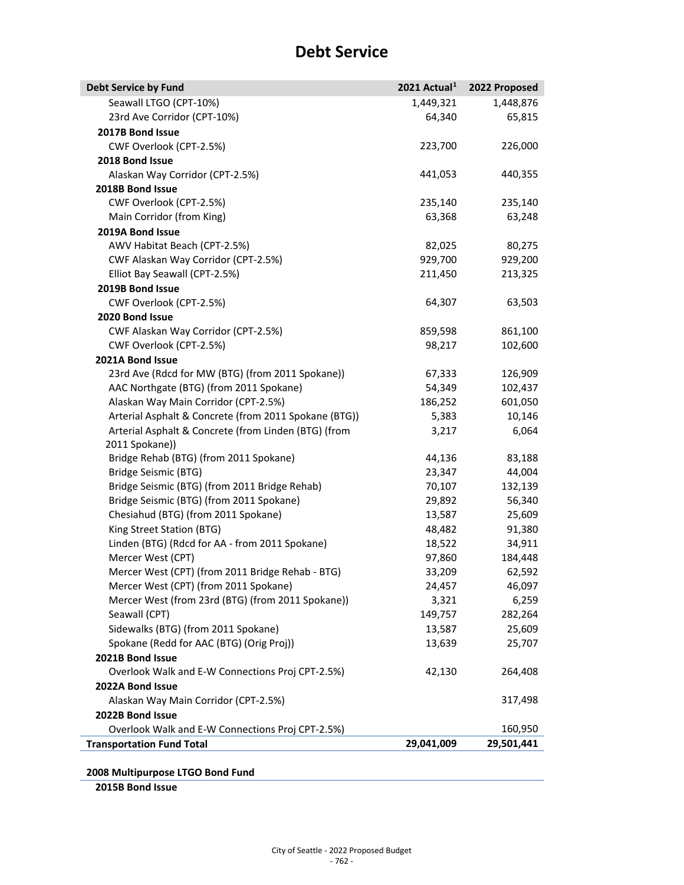| <b>Debt Service by Fund</b>                           | 2021 Actual <sup>1</sup> | 2022 Proposed |
|-------------------------------------------------------|--------------------------|---------------|
| Seawall LTGO (CPT-10%)                                | 1,449,321                | 1,448,876     |
| 23rd Ave Corridor (CPT-10%)                           | 64,340                   | 65,815        |
| 2017B Bond Issue                                      |                          |               |
| CWF Overlook (CPT-2.5%)                               | 223,700                  | 226,000       |
| 2018 Bond Issue                                       |                          |               |
| Alaskan Way Corridor (CPT-2.5%)                       | 441,053                  | 440,355       |
| 2018B Bond Issue                                      |                          |               |
| CWF Overlook (CPT-2.5%)                               | 235,140                  | 235,140       |
| Main Corridor (from King)                             | 63,368                   | 63,248        |
| 2019A Bond Issue                                      |                          |               |
| AWV Habitat Beach (CPT-2.5%)                          | 82,025                   | 80,275        |
| CWF Alaskan Way Corridor (CPT-2.5%)                   | 929,700                  | 929,200       |
| Elliot Bay Seawall (CPT-2.5%)                         | 211,450                  | 213,325       |
| 2019B Bond Issue                                      |                          |               |
| CWF Overlook (CPT-2.5%)                               | 64,307                   | 63,503        |
| 2020 Bond Issue                                       |                          |               |
| CWF Alaskan Way Corridor (CPT-2.5%)                   | 859,598                  | 861,100       |
| CWF Overlook (CPT-2.5%)                               | 98,217                   | 102,600       |
| 2021A Bond Issue                                      |                          |               |
| 23rd Ave (Rdcd for MW (BTG) (from 2011 Spokane))      | 67,333                   | 126,909       |
| AAC Northgate (BTG) (from 2011 Spokane)               | 54,349                   | 102,437       |
| Alaskan Way Main Corridor (CPT-2.5%)                  | 186,252                  | 601,050       |
| Arterial Asphalt & Concrete (from 2011 Spokane (BTG)) | 5,383                    | 10,146        |
| Arterial Asphalt & Concrete (from Linden (BTG) (from  | 3,217                    | 6,064         |
| 2011 Spokane))                                        |                          |               |
| Bridge Rehab (BTG) (from 2011 Spokane)                | 44,136                   | 83,188        |
| Bridge Seismic (BTG)                                  | 23,347                   | 44,004        |
| Bridge Seismic (BTG) (from 2011 Bridge Rehab)         | 70,107                   | 132,139       |
| Bridge Seismic (BTG) (from 2011 Spokane)              | 29,892                   | 56,340        |
| Chesiahud (BTG) (from 2011 Spokane)                   | 13,587                   | 25,609        |
| King Street Station (BTG)                             | 48,482                   | 91,380        |
| Linden (BTG) (Rdcd for AA - from 2011 Spokane)        | 18,522                   | 34,911        |
| Mercer West (CPT)                                     | 97,860                   | 184,448       |
| Mercer West (CPT) (from 2011 Bridge Rehab - BTG)      | 33,209                   | 62,592        |
| Mercer West (CPT) (from 2011 Spokane)                 | 24,457                   | 46,097        |
| Mercer West (from 23rd (BTG) (from 2011 Spokane))     | 3,321                    | 6,259         |
| Seawall (CPT)                                         | 149,757                  | 282,264       |
| Sidewalks (BTG) (from 2011 Spokane)                   | 13,587                   | 25,609        |
| Spokane (Redd for AAC (BTG) (Orig Proj))              | 13,639                   | 25,707        |
| 2021B Bond Issue                                      |                          |               |
| Overlook Walk and E-W Connections Proj CPT-2.5%)      | 42,130                   | 264,408       |
| 2022A Bond Issue                                      |                          |               |
| Alaskan Way Main Corridor (CPT-2.5%)                  |                          | 317,498       |
| 2022B Bond Issue                                      |                          |               |
| Overlook Walk and E-W Connections Proj CPT-2.5%)      |                          | 160,950       |
| <b>Transportation Fund Total</b>                      | 29,041,009               | 29,501,441    |
|                                                       |                          |               |

**2008 Multipurpose LTGO Bond Fund**

**2015B Bond Issue**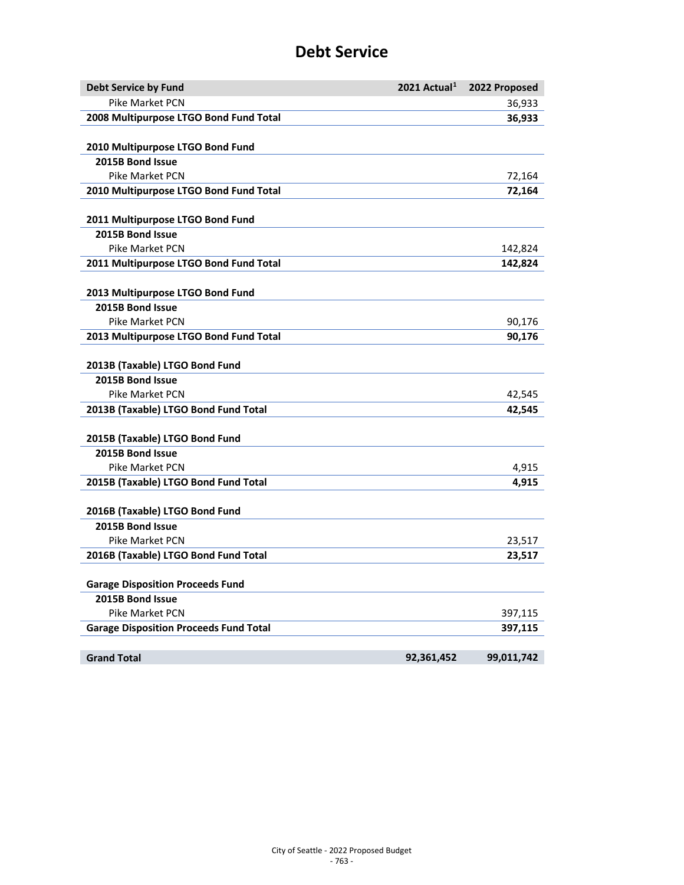| <b>Debt Service by Fund</b>                        | 2021 Actual <sup>1</sup> | 2022 Proposed |
|----------------------------------------------------|--------------------------|---------------|
| Pike Market PCN                                    |                          | 36,933        |
| 2008 Multipurpose LTGO Bond Fund Total             |                          | 36,933        |
|                                                    |                          |               |
| 2010 Multipurpose LTGO Bond Fund                   |                          |               |
| 2015B Bond Issue                                   |                          |               |
| Pike Market PCN                                    |                          | 72,164        |
| 2010 Multipurpose LTGO Bond Fund Total             |                          | 72,164        |
| 2011 Multipurpose LTGO Bond Fund                   |                          |               |
| 2015B Bond Issue                                   |                          |               |
| <b>Pike Market PCN</b>                             |                          | 142,824       |
| 2011 Multipurpose LTGO Bond Fund Total             |                          | 142,824       |
|                                                    |                          |               |
| 2013 Multipurpose LTGO Bond Fund                   |                          |               |
| 2015B Bond Issue                                   |                          |               |
| Pike Market PCN                                    |                          | 90,176        |
| 2013 Multipurpose LTGO Bond Fund Total             |                          | 90,176        |
|                                                    |                          |               |
| 2013B (Taxable) LTGO Bond Fund<br>2015B Bond Issue |                          |               |
| <b>Pike Market PCN</b>                             |                          |               |
|                                                    |                          | 42,545        |
| 2013B (Taxable) LTGO Bond Fund Total               |                          | 42,545        |
| 2015B (Taxable) LTGO Bond Fund                     |                          |               |
| 2015B Bond Issue                                   |                          |               |
| <b>Pike Market PCN</b>                             |                          | 4,915         |
| 2015B (Taxable) LTGO Bond Fund Total               |                          | 4,915         |
|                                                    |                          |               |
| 2016B (Taxable) LTGO Bond Fund                     |                          |               |
| 2015B Bond Issue                                   |                          |               |
| <b>Pike Market PCN</b>                             |                          | 23,517        |
| 2016B (Taxable) LTGO Bond Fund Total               |                          | 23,517        |
| <b>Garage Disposition Proceeds Fund</b>            |                          |               |
| 2015B Bond Issue                                   |                          |               |
| Pike Market PCN                                    |                          | 397,115       |
| <b>Garage Disposition Proceeds Fund Total</b>      |                          | 397,115       |
|                                                    |                          |               |
| <b>Grand Total</b>                                 | 92,361,452               | 99,011,742    |